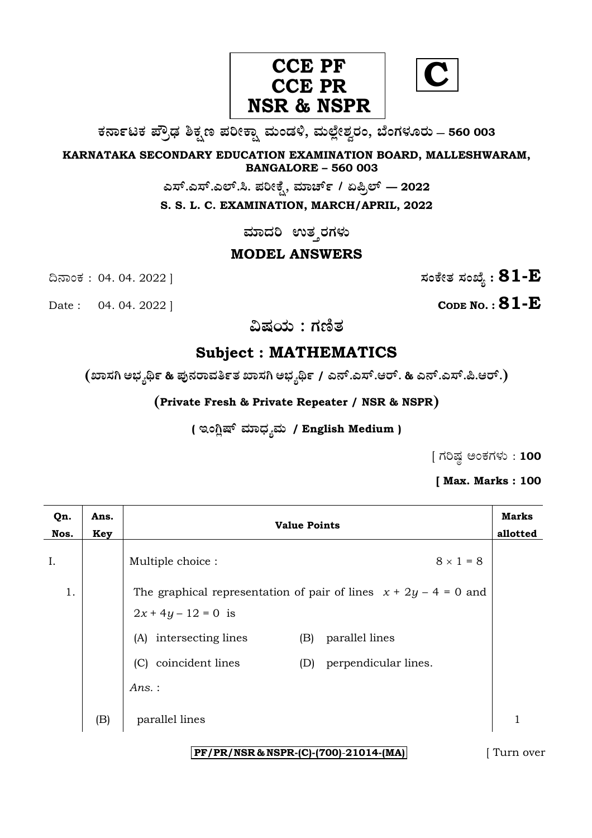

**C**

**O⁄´¤%lO⁄ ÆË√v⁄ ÃO⁄–y Æ⁄¬fiO¤– »⁄flMs⁄ÿ, »⁄fl≈Ê«fiÀ⁄ ¡⁄M, ∑ÊMV⁄◊⁄‡¡⁄fl — 560 003** 

**KARNATAKA SECONDARY EDUCATION EXAMINATION BOARD, MALLESHWARAM, BANGALORE – 560 003** 

**G—È.G—È.G≈È.". Æ⁄¬fiOÊ⁄–, »⁄·¤^È% / HØ√≈È — 2022**

**S. S. L. C. EXAMINATION, MARCH/APRIL, 2022** 

 $\,$ ಮಾದರಿ ಉತ್ತರಗಳು

## **MODEL ANSWERS**

**CODE NO. : 81-E** 

ದಿನಾಂಕ : 04. 04. 2022 ]  $\qquad \qquad$   $\qquad \qquad$   $\qquad$  ಸಂಕೇತ ಸಂಖ್ಯೆ :  $81$ - $\rm E$ 

**…Œ⁄æ⁄fl : V⁄{}⁄**

# **Subject : MATHEMATICS**

**(S¤—⁄W @∫⁄¥¿£% & Æ⁄'¥´⁄¡¤»⁄~%}⁄S¤—⁄W @∫⁄¥¿£% / G´È.G—È.A¡È. & G´È.G—È.Ø.A¡È.)** 

**(Private Fresh & Private Repeater / NSR & NSPR)**

( ಇಂಗ್ಷಿಷ್ ಮಾಧ್ನಮ / English Medium )

 $[$  ಗರಿಷ್ಠ ಅಂಕಗಳು : 100

**[ Max. Marks : 100** 

| Qn.<br>Nos. | Ans.<br>Key | <b>Value Points</b>           |                                                                    | <b>Marks</b><br>allotted |
|-------------|-------------|-------------------------------|--------------------------------------------------------------------|--------------------------|
| I.          |             | Multiple choice :             | $8 \times 1 = 8$                                                   |                          |
| 1.          |             | $2x + 4y - 12 = 0$ is         | The graphical representation of pair of lines $x + 2y - 4 = 0$ and |                          |
|             |             | (A) intersecting lines<br>(B) | parallel lines                                                     |                          |
|             |             | (C) coincident lines<br>(D)   | perpendicular lines.                                               |                          |
|             |             | Ans.:                         |                                                                    |                          |
|             | (B)         | parallel lines                |                                                                    | 1                        |
|             |             |                               |                                                                    |                          |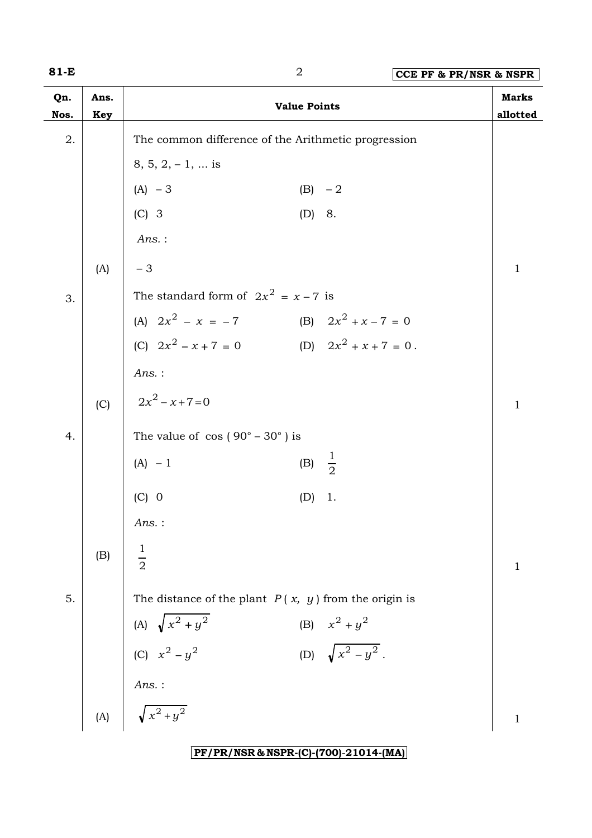| w<br>۰. |  |  |
|---------|--|--|
|---------|--|--|

| 81-E        |             | $\sqrt{2}$                                                                               | CCE PF & PR/NSR & NSPR   |
|-------------|-------------|------------------------------------------------------------------------------------------|--------------------------|
| Qn.<br>Nos. | Ans.<br>Key | <b>Value Points</b>                                                                      | <b>Marks</b><br>allotted |
| 2.          |             | The common difference of the Arithmetic progression                                      |                          |
|             |             | $8, 5, 2, -1, \dots$ is                                                                  |                          |
|             |             | $(A) - 3$<br>$(B) -2$                                                                    |                          |
|             |             | $(C)$ 3<br>(D) 8.                                                                        |                          |
|             |             | $Ans.$ :                                                                                 |                          |
|             | (A)         | $-3$                                                                                     | $\mathbf{1}$             |
| 3.          |             | The standard form of $2x^2 = x - 7$ is                                                   |                          |
|             |             | (A) $2x^2 - x = -7$<br>(B) $2x^2 + x - 7 = 0$                                            |                          |
|             |             | (D) $2x^2 + x + 7 = 0$ .<br>(C) $2x^2 - x + 7 = 0$                                       |                          |
|             |             | $Ans.$ :                                                                                 |                          |
|             | (C)         | $2x^2 - x + 7 = 0$                                                                       | $\mathbf{1}$             |
| 4.          |             | The value of $\cos(90^\circ - 30^\circ)$ is                                              |                          |
|             |             | (B) $\frac{1}{2}$<br>$(A) - 1$                                                           |                          |
|             |             | $(C)$ 0<br>1.<br>(D)                                                                     |                          |
|             |             | $Ans.$ :                                                                                 |                          |
|             | (B)         |                                                                                          |                          |
|             |             | $\frac{1}{2}$                                                                            | 1                        |
| 5.          |             | The distance of the plant $P(x, y)$ from the origin is                                   |                          |
|             |             |                                                                                          |                          |
|             |             | (A) $\sqrt{x^2 + y^2}$<br>(C) $x^2 - y^2$<br>(B) $x^2 + y^2$<br>(D) $\sqrt{x^2 - y^2}$ . |                          |
|             |             |                                                                                          |                          |
|             | (A)         | Ans. :<br>$\sqrt{x^2+y^2}$                                                               | $\mathbf 1$              |
|             |             |                                                                                          |                          |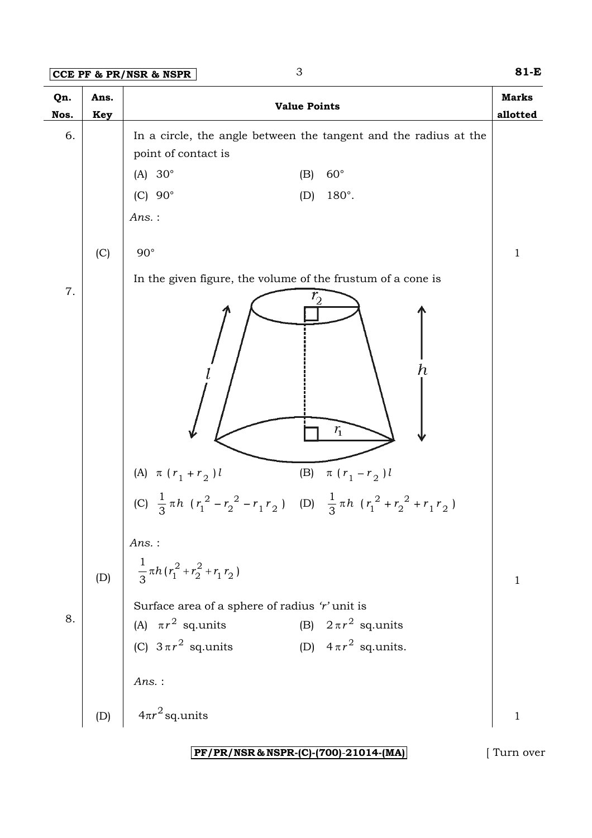**CCE PF & PR/NSR & NSPR** 3 **81-E**

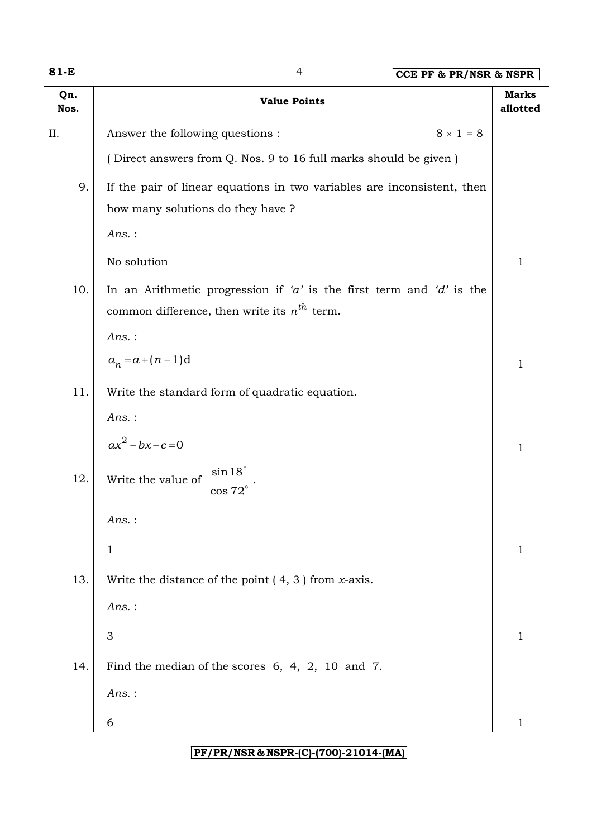| ۰,<br>w<br>۰. |  |  |
|---------------|--|--|
|---------------|--|--|

**81-E** 4 **CCE PF & PR/NSR & NSPR**

| Qn.<br>Nos. | <b>Value Points</b>                                                                                                      | <b>Marks</b><br>allotted |
|-------------|--------------------------------------------------------------------------------------------------------------------------|--------------------------|
| II.         | $8 \times 1 = 8$<br>Answer the following questions :                                                                     |                          |
|             | (Direct answers from Q. Nos. 9 to 16 full marks should be given)                                                         |                          |
| 9.          | If the pair of linear equations in two variables are inconsistent, then                                                  |                          |
|             | how many solutions do they have?<br>$Ans.$ :                                                                             |                          |
|             | No solution                                                                                                              | $\mathbf{1}$             |
| 10.         | In an Arithmetic progression if 'a' is the first term and 'd' is the<br>common difference, then write its $n^{th}$ term. |                          |
|             | $Ans.$ :                                                                                                                 |                          |
|             | $a_n = a + (n-1)d$                                                                                                       | $\mathbf{1}$             |
| 11.         | Write the standard form of quadratic equation.                                                                           |                          |
|             | $Ans.$ :                                                                                                                 |                          |
|             | $ax^2 + bx + c = 0$                                                                                                      | $\mathbf{1}$             |
| 12.         | $\sin 18^\circ$<br>Write the value of<br>$\cos 72^\circ$                                                                 |                          |
|             | Ans.:                                                                                                                    |                          |
|             | 1                                                                                                                        | 1                        |
| 13.         | Write the distance of the point $(4, 3)$ from <i>x</i> -axis.                                                            |                          |
|             | $Ans.$ :                                                                                                                 |                          |
|             | $\ensuremath{\mathsf{3}}$                                                                                                | $\mathbf{1}$             |
| 14.         | Find the median of the scores $6, 4, 2, 10$ and 7.                                                                       |                          |
|             | $Ans.$ :                                                                                                                 |                          |
|             | 6                                                                                                                        | $\mathbf{1}$             |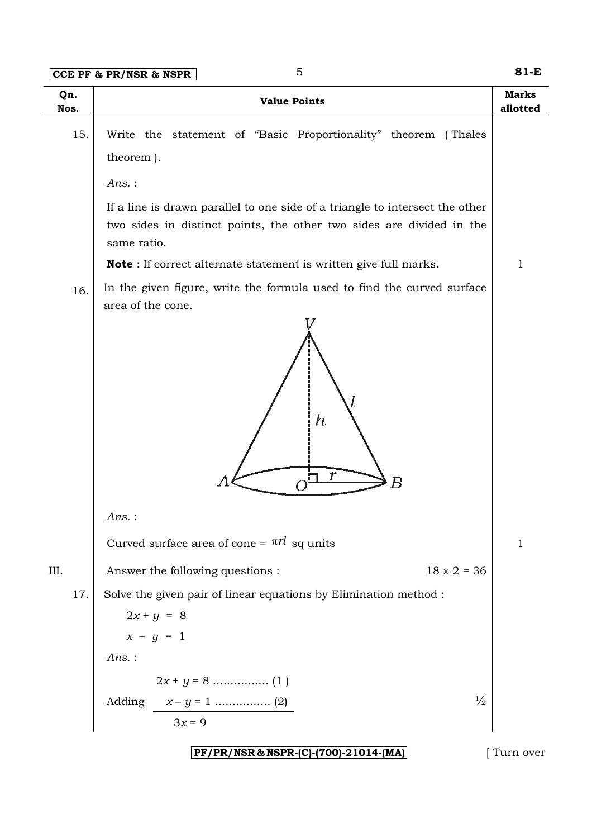**CCE PF & PR/NSR & NSPR** 5 **81-E** 

| Qn.<br>Nos. |     | <b>Value Points</b>                                                                                                                                                 | <b>Marks</b><br>allotted |
|-------------|-----|---------------------------------------------------------------------------------------------------------------------------------------------------------------------|--------------------------|
|             | 15. | Write the statement of "Basic Proportionality" theorem (Thales                                                                                                      |                          |
|             |     | theorem).                                                                                                                                                           |                          |
|             |     | $Ans.$ :                                                                                                                                                            |                          |
|             |     | If a line is drawn parallel to one side of a triangle to intersect the other<br>two sides in distinct points, the other two sides are divided in the<br>same ratio. |                          |
|             |     | <b>Note</b> : If correct alternate statement is written give full marks.                                                                                            | $\mathbf 1$              |
|             | 16. | In the given figure, write the formula used to find the curved surface<br>area of the cone.                                                                         |                          |
|             |     | $\bm{h}$<br>r<br>Α<br>Β                                                                                                                                             |                          |
|             |     | $Ans.$ :                                                                                                                                                            |                          |
|             |     | Curved surface area of cone = $\pi r l$ sq units                                                                                                                    | $\mathbf{1}$             |
| III.        |     | Answer the following questions :<br>$18 \times 2 = 36$                                                                                                              |                          |
|             | 17. | Solve the given pair of linear equations by Elimination method :                                                                                                    |                          |
|             |     | $2x + y = 8$                                                                                                                                                        |                          |
|             |     | $x - y = 1$                                                                                                                                                         |                          |
|             |     | Ans.:                                                                                                                                                               |                          |
|             |     |                                                                                                                                                                     |                          |
|             |     | $\frac{1}{2}$                                                                                                                                                       |                          |
|             |     | $3x = 9$                                                                                                                                                            |                          |
|             |     | PF/PR/NSR & NSPR-(C)-(700)-21014-(MA)                                                                                                                               | Turn over                |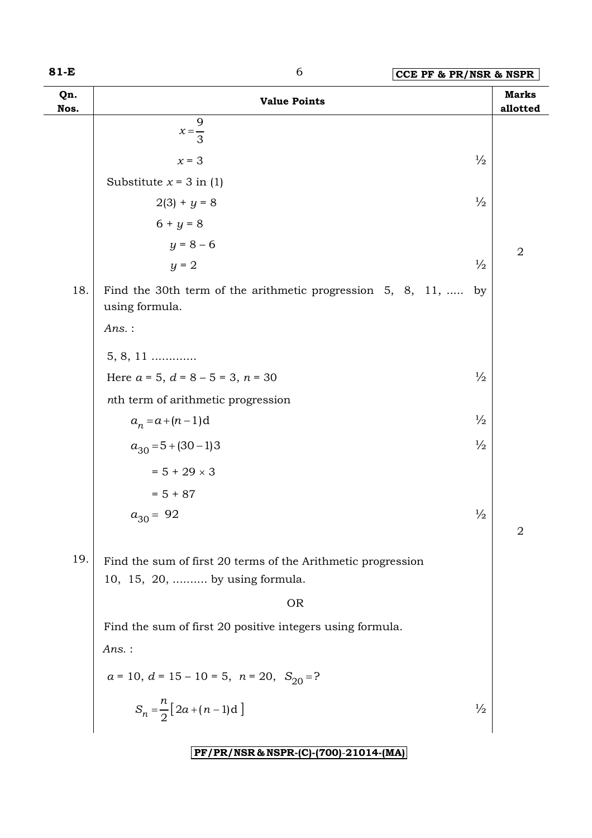| w<br>۰. |  |
|---------|--|
|---------|--|

| Qn.<br>Nos. | <b>Value Points</b>                                                                            |               | <b>Marks</b><br>allotted |
|-------------|------------------------------------------------------------------------------------------------|---------------|--------------------------|
|             | 9<br>$x=\frac{1}{3}$                                                                           |               |                          |
|             | $x = 3$                                                                                        | $\frac{1}{2}$ |                          |
|             | Substitute $x = 3$ in (1)                                                                      |               |                          |
|             | $2(3) + y = 8$                                                                                 | $\frac{1}{2}$ |                          |
|             | $6 + y = 8$                                                                                    |               |                          |
|             | $y = 8 - 6$                                                                                    |               | $\overline{2}$           |
|             | $y = 2$                                                                                        | $\frac{1}{2}$ |                          |
| 18.         | Find the 30th term of the arithmetic progression $5, 8, 11, \ldots$<br>using formula.          | by            |                          |
|             | $Ans.$ :                                                                                       |               |                          |
|             | $5, 8, 11$                                                                                     |               |                          |
|             | Here $a = 5$ , $d = 8 - 5 = 3$ , $n = 30$                                                      | $\frac{1}{2}$ |                          |
|             | nth term of arithmetic progression                                                             |               |                          |
|             | $a_n = a + (n-1)d$                                                                             | $\frac{1}{2}$ |                          |
|             | $a_{30} = 5 + (30 - 1)3$                                                                       | $\frac{1}{2}$ |                          |
|             | $= 5 + 29 \times 3$                                                                            |               |                          |
|             | $= 5 + 87$                                                                                     |               |                          |
|             | $a_{30} = 92$                                                                                  | $\frac{1}{2}$ |                          |
|             |                                                                                                |               | $\overline{2}$           |
| 19.         | Find the sum of first 20 terms of the Arithmetic progression<br>10, 15, 20,  by using formula. |               |                          |
|             | <b>OR</b>                                                                                      |               |                          |
|             | Find the sum of first 20 positive integers using formula.                                      |               |                          |
|             | $Ans.$ :                                                                                       |               |                          |
|             | $a = 10$ , $d = 15 - 10 = 5$ , $n = 20$ , $S_{20} = ?$                                         |               |                          |
|             | $S_n = \frac{n}{2} [2a + (n-1)d]$                                                              | $\frac{1}{2}$ |                          |
|             |                                                                                                |               |                          |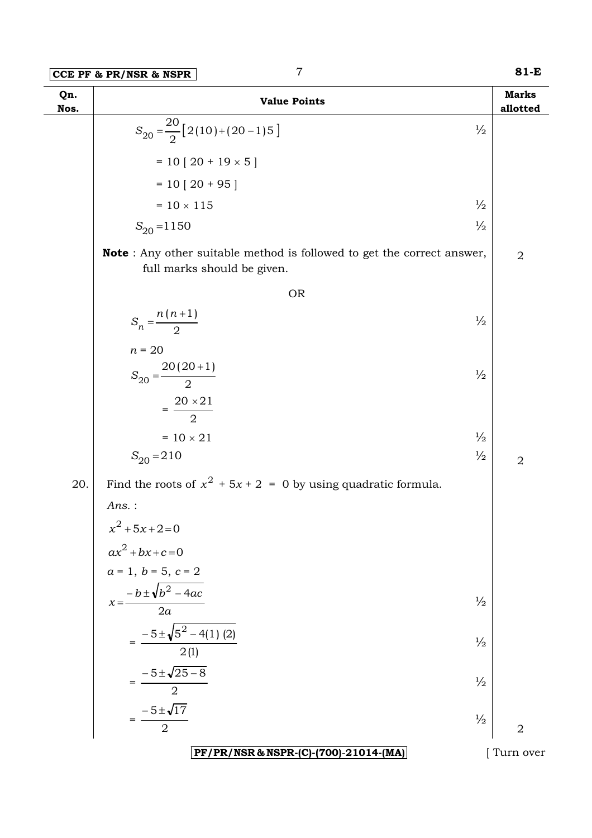| Qn.<br>Nos. | <b>Value Points</b>                                                                                           | <b>Marks</b><br>allotted |
|-------------|---------------------------------------------------------------------------------------------------------------|--------------------------|
|             | $S_{20} = \frac{20}{2} [2(10) + (20 - 1)5]$<br>$\frac{1}{2}$                                                  |                          |
|             | $= 10 [20 + 19 \times 5]$                                                                                     |                          |
|             | $= 10 [20 + 95]$                                                                                              |                          |
|             | $\frac{1}{2}$<br>$= 10 \times 115$                                                                            |                          |
|             | $\frac{1}{2}$<br>$S_{20} = 1150$                                                                              |                          |
|             | <b>Note</b> : Any other suitable method is followed to get the correct answer,<br>full marks should be given. | $\overline{2}$           |
|             | <b>OR</b>                                                                                                     |                          |
|             | $S_n = \frac{n(n+1)}{2}$<br>$\frac{1}{2}$                                                                     |                          |
|             | $n = 20$<br>$S_{20} = \frac{20(20+1)}{2}$<br>$\frac{1}{2}$                                                    |                          |
|             | $=\frac{20\times21}{2}$                                                                                       |                          |
|             | $\frac{1}{2}$<br>$= 10 \times 21$                                                                             |                          |
|             | $\frac{1}{2}$<br>$S_{20} = 210$                                                                               | $\overline{2}$           |
| 20.         | Find the roots of $x^2 + 5x + 2 = 0$ by using quadratic formula.                                              |                          |
|             | $Ans.$ :                                                                                                      |                          |
|             | $x^2 + 5x + 2 = 0$                                                                                            |                          |
|             | $ax^2 + bx + c = 0$                                                                                           |                          |
|             | $a = 1, b = 5, c = 2$                                                                                         |                          |
|             | $x = \frac{-b \pm \sqrt{b^2 - 4ac}}{2a}$<br>$\frac{1}{2}$                                                     |                          |
|             | $=\frac{-5\pm\sqrt{5^2-4(1)} (2)}{2(1)}$<br>$\frac{1}{2}$                                                     |                          |
|             | $=\frac{-5 \pm \sqrt{25 - 8}}{2}$<br>$\frac{1}{2}$                                                            |                          |
|             |                                                                                                               |                          |
|             | $=\frac{-5 \pm \sqrt{17}}{2}$<br>$\frac{1}{2}$                                                                | $\overline{2}$           |
|             | PF/PR/NSR & NSPR-(C)-(700)-21014-(MA)                                                                         | Turn over                |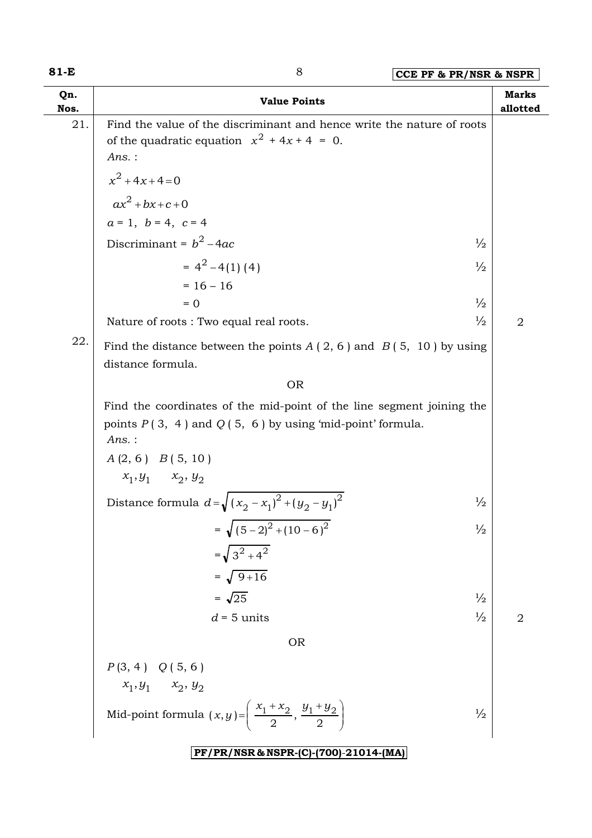## **81-E** 8 **CCE PF & PR/NSR & NSPR**

| Qn.<br>Nos. | <b>Value Points</b>                                                                                                                            | <b>Marks</b><br>allotted |
|-------------|------------------------------------------------------------------------------------------------------------------------------------------------|--------------------------|
| 21.         | Find the value of the discriminant and hence write the nature of roots<br>of the quadratic equation $x^2 + 4x + 4 = 0$ .<br>Ans. :             |                          |
|             | $x^2 + 4x + 4 = 0$                                                                                                                             |                          |
|             | $ax^2 + bx + c + 0$                                                                                                                            |                          |
|             | $a = 1, b = 4, c = 4$                                                                                                                          |                          |
|             | Discriminant = $b^2$ – 4ac<br>$\frac{1}{2}$                                                                                                    |                          |
|             | $= 4^{2} - 4(1)(4)$<br>$\frac{1}{2}$                                                                                                           |                          |
|             | $= 16 - 16$                                                                                                                                    |                          |
|             | $\frac{1}{2}$<br>$= 0$                                                                                                                         |                          |
| 22.         | $\frac{1}{2}$<br>Nature of roots: Two equal real roots.                                                                                        | $\overline{2}$           |
|             | Find the distance between the points $A(2, 6)$ and $B(5, 10)$ by using<br>distance formula.                                                    |                          |
|             | <b>OR</b>                                                                                                                                      |                          |
|             | Find the coordinates of the mid-point of the line segment joining the<br>points $P(3, 4)$ and $Q(5, 6)$ by using 'mid-point' formula.<br>Ans.: |                          |
|             | $A(2, 6)$ $B(5, 10)$                                                                                                                           |                          |
|             | $x_1, y_1$ $x_2, y_2$                                                                                                                          |                          |
|             | Distance formula $d=\sqrt{(x_2-x_1)^2+(y_2-y_1)^2}$<br>$\frac{1}{2}$                                                                           |                          |
|             | $=\sqrt{(5-2)^2+(10-6)^2}$<br>$\frac{1}{2}$                                                                                                    |                          |
|             | $=\sqrt{3^2+4^2}$                                                                                                                              |                          |
|             | $=\sqrt{9+16}$                                                                                                                                 |                          |
|             | $=\sqrt{25}$<br>$\frac{1}{2}$                                                                                                                  |                          |
|             | $\frac{1}{2}$<br>$d = 5$ units                                                                                                                 | $\overline{2}$           |
|             | <b>OR</b>                                                                                                                                      |                          |
|             | $P(3, 4)$ $Q(5, 6)$                                                                                                                            |                          |
|             | $x_1, y_1$ $x_2, y_2$                                                                                                                          |                          |
|             | Mid-point formula $(x,y) = \left(\frac{x_1 + x_2}{2}, \frac{y_1 + y_2}{2}\right)$<br>$\frac{1}{2}$                                             |                          |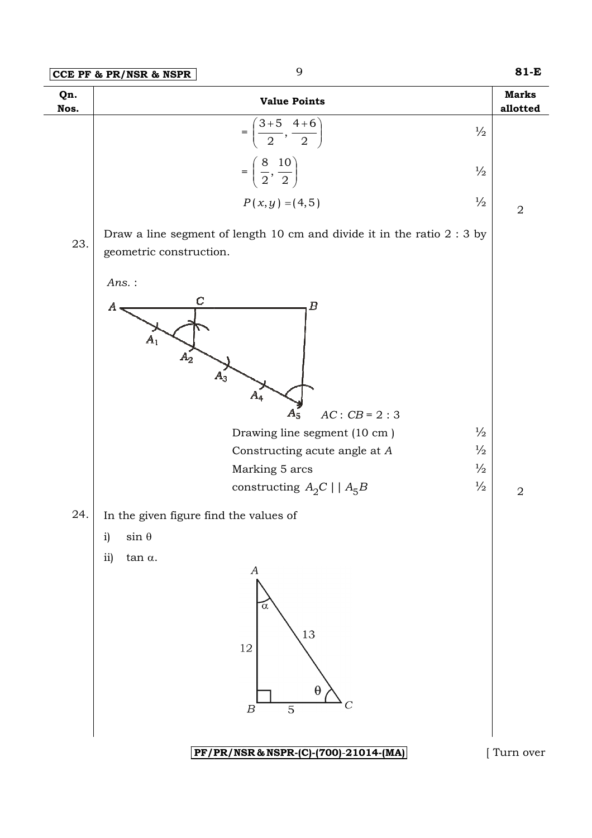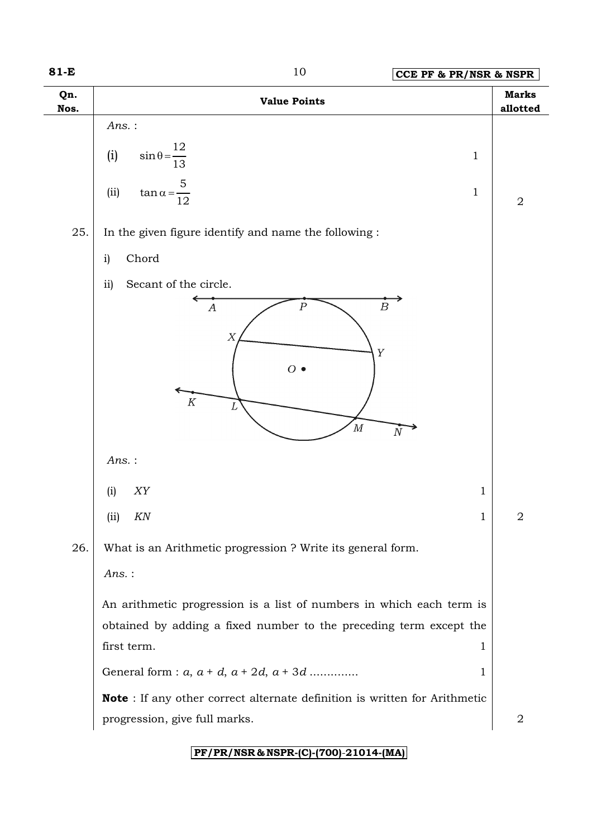**81-E** 10 **CCE PF & PR/NSR & NSPR**

| Qn.<br>Nos. | <b>Value Points</b>                                                                                                                                                       | <b>Marks</b><br>allotted |
|-------------|---------------------------------------------------------------------------------------------------------------------------------------------------------------------------|--------------------------|
|             | $Ans.$ :<br>12<br>(i)<br>$\sin \theta = \frac{1}{12}$<br>$\mathbf{1}$<br>13<br>5<br>$\mathbf{1}$<br>(ii)<br>$\tan \alpha = \frac{1}{12}$                                  | $\mathbf 2$              |
| 25.         | In the given figure identify and name the following :<br>Chord<br>$\mathbf{i}$<br>ii)<br>Secant of the circle.                                                            |                          |
|             | $\boldsymbol{B}$<br>$\boldsymbol{P}$<br>$\boldsymbol{A}$<br>$\boldsymbol{X}$<br>Y<br>$O$ $\bullet$<br>$\cal K$<br>$\overline{M}$<br>$\overline{N}$                        |                          |
|             | $Ans.$ :<br>${\it XY}$<br>$\mathbf{1}$<br>(i)<br>KN<br>(i)<br>1                                                                                                           | $\sqrt{2}$               |
| 26.         | What is an Arithmetic progression ? Write its general form.<br>$Ans.$ :                                                                                                   |                          |
|             | An arithmetic progression is a list of numbers in which each term is<br>obtained by adding a fixed number to the preceding term except the<br>first term.<br>$\mathbf{1}$ |                          |
|             | General form : $a, a + d, a + 2d, a + 3d$<br>$\mathbf 1$                                                                                                                  |                          |
|             | Note : If any other correct alternate definition is written for Arithmetic<br>progression, give full marks.                                                               | $\sqrt{2}$               |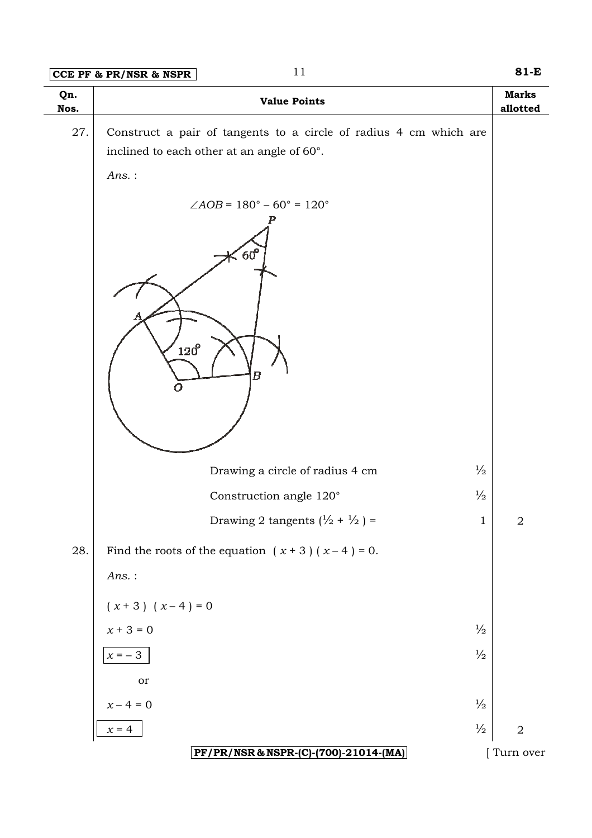## **CCE PF & PR/NSR & NSPR**

| Qn.<br>Nos. | <b>Value Points</b>                                                                                             | <b>Marks</b><br>allotted |
|-------------|-----------------------------------------------------------------------------------------------------------------|--------------------------|
| $27. \,$    | Construct a pair of tangents to a circle of radius 4 cm which are<br>inclined to each other at an angle of 60°. |                          |
|             | $Ans.$ :                                                                                                        |                          |
|             | $\angle AOB = 180^\circ - 60^\circ = 120^\circ$<br>$60^{\circ}$<br>$120^{\circ}$<br>$\bm{B}$<br>$\Omega$        |                          |
|             | $\frac{1}{2}$<br>Drawing a circle of radius 4 cm                                                                |                          |
|             | $\frac{1}{2}$<br>Construction angle 120°                                                                        |                          |
|             | Drawing 2 tangents $(\frac{1}{2} + \frac{1}{2}) =$<br>$\mathbf 1$                                               | $\mathbf 2$              |
| 28.         | Find the roots of the equation $(x + 3)(x - 4) = 0$ .                                                           |                          |
|             | $Ans.$ :                                                                                                        |                          |
|             | $(x + 3) (x - 4) = 0$                                                                                           |                          |
|             | $x+3=0$<br>$\frac{1}{2}$                                                                                        |                          |
|             | $\frac{1}{2}$<br>$x = -3$                                                                                       |                          |
|             | or                                                                                                              |                          |
|             | $x\!-4=0$<br>$\frac{1}{2}$                                                                                      |                          |
|             | $\frac{1}{2}$<br>$x = 4$                                                                                        | $\sqrt{2}$               |
|             | PF/PR/NSR & NSPR-(C)-(700)-21014-(MA)                                                                           | [Turn over               |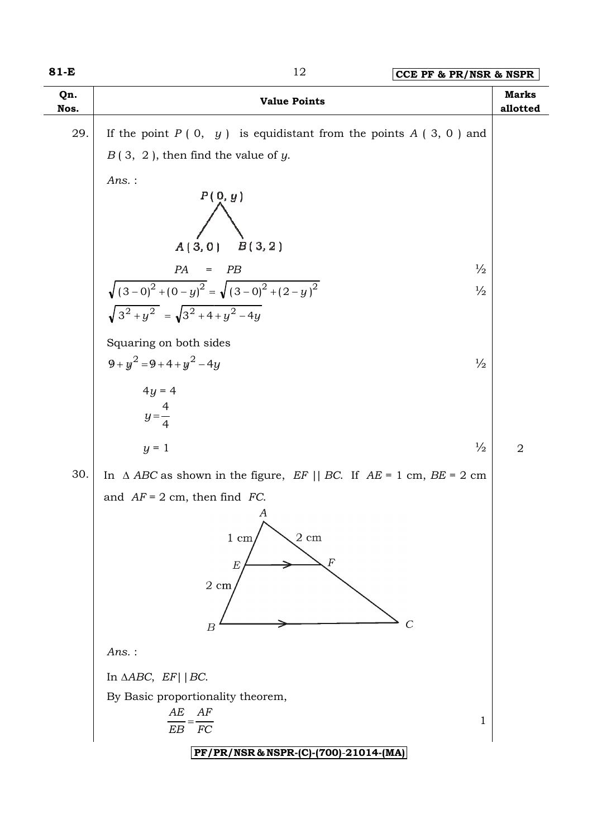### 12 **CCE PF & PR/NSR & NSPR**

| Qn.<br>Nos. | <b>Value Points</b>                                                                                                                                                                  | <b>Marks</b><br>allotted |
|-------------|--------------------------------------------------------------------------------------------------------------------------------------------------------------------------------------|--------------------------|
| 29.         | If the point $P(0, y)$ is equidistant from the points $A(3, 0)$ and                                                                                                                  |                          |
|             | $B(3, 2)$ , then find the value of y.                                                                                                                                                |                          |
|             | Ans.:<br>P(0, y)                                                                                                                                                                     |                          |
|             | $A(3,0)$ $B(3,2)$                                                                                                                                                                    |                          |
|             | $\frac{1}{2}$<br>PA<br>PB<br>$\hspace{1.6cm} = \hspace{1.6cm}$                                                                                                                       |                          |
|             | $\sqrt{(3-0)^2 + (0-y)^2} = \sqrt{(3-0)^2 + (2-y)^2}$<br>$\sqrt{3^2 + y^2} = \sqrt{3^2 + 4 + y^2 - 4y}$<br>$\frac{1}{2}$                                                             |                          |
|             | Squaring on both sides                                                                                                                                                               |                          |
|             | $9 + y^2 = 9 + 4 + y^2 - 4y$<br>$\frac{1}{2}$                                                                                                                                        |                          |
|             | $4y = 4$                                                                                                                                                                             |                          |
|             | $y = \frac{4}{4}$                                                                                                                                                                    |                          |
|             | $\frac{1}{2}$<br>$y = 1$                                                                                                                                                             | $\overline{2}$           |
| 30.         | In $\triangle$ ABC as shown in the figure, EF    BC. If AE = 1 cm, BE = 2 cm                                                                                                         |                          |
|             | and $AF = 2$ cm, then find FC.<br>$\boldsymbol{A}$<br>∧<br>$2\ {\rm cm}$<br>$1 \text{ cm}$<br>$\boldsymbol{F}$<br>$_{E}$<br>$2 \; \mathrm{cm}$<br>$\overline{C}$<br>$\boldsymbol{B}$ |                          |
|             | Ans.:                                                                                                                                                                                |                          |
|             | In $\triangle ABC$ , $EF$   BC.                                                                                                                                                      |                          |
|             | By Basic proportionality theorem,<br>$AE$ $AF$<br>1<br>${\cal EB}$<br>FC                                                                                                             |                          |
|             | PF/PR/NSR & NSPR-(C)-(700)-21014-(MA)                                                                                                                                                |                          |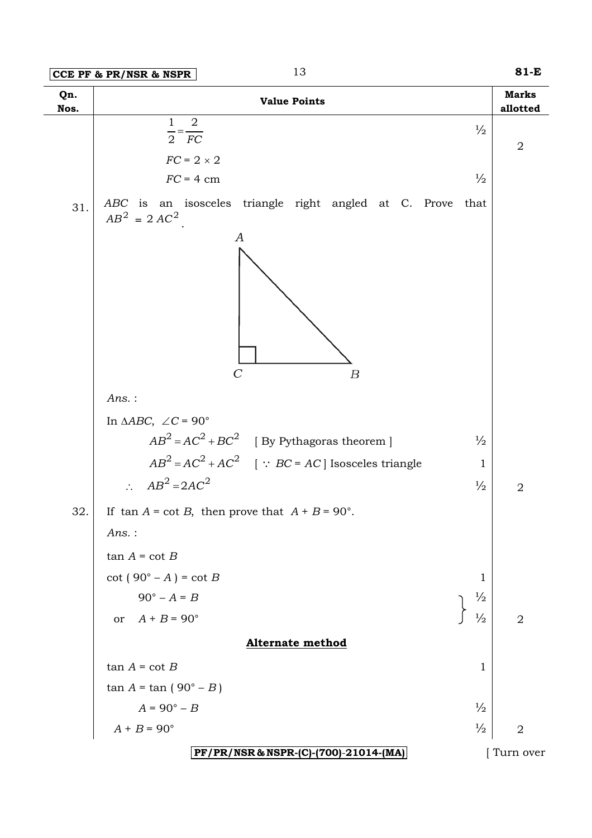| Qn.<br>Nos. | <b>Value Points</b>                                                               | <b>Marks</b><br>allotted |
|-------------|-----------------------------------------------------------------------------------|--------------------------|
|             | $\overline{2}$<br>$\mathbf{1}$<br>$\frac{1}{2}$<br>$\overline{2} = \overline{FC}$ |                          |
|             | $FC = 2 \times 2$                                                                 | $\sqrt{2}$               |
|             | $\frac{1}{2}$<br>$FC = 4$ cm                                                      |                          |
| 31.         | ABC is an isosceles triangle right angled at C. Prove<br>that<br>$AB^2 = 2AC^2$   |                          |
|             | A<br>$\mathcal{C}$<br>$\boldsymbol{B}$                                            |                          |
|             | $Ans.$ :                                                                          |                          |
|             | In $\triangle ABC$ , $\angle C = 90^\circ$                                        |                          |
|             | $AB^2 = AC^2 + BC^2$ [By Pythagoras theorem ]<br>$\frac{1}{2}$                    |                          |
|             | $AB^2 = AC^2 + AC^2$ [ $\because BC = AC$ ] Isosceles triangle                    | $\mathbf{1}$             |
|             | $\therefore AB^2 = 2AC^2$<br>$\frac{1}{2}$                                        | $\overline{2}$           |
| 32.         | If $\tan A = \cot B$ , then prove that $A + B = 90^\circ$ .                       |                          |
|             | Ans.:                                                                             |                          |
|             | $tan A = cot B$                                                                   |                          |
|             | $\cot (90^\circ - A) = \cot B$                                                    | 1                        |
|             | $90^{\circ} - A = B$<br>$\frac{1}{2}$                                             |                          |
|             | or $A + B = 90^\circ$<br>$\frac{1}{2}$                                            | $\overline{2}$           |
|             | <b>Alternate method</b>                                                           |                          |
|             | $tan A = cot B$                                                                   | $\mathbf{1}$             |
|             | $tan A = tan (90° - B)$                                                           |                          |
|             | $\frac{1}{2}$<br>$A = 90^\circ - B$                                               |                          |
|             | $A + B = 90^{\circ}$<br>$\frac{1}{2}$                                             | $\overline{2}$           |
|             | PF/PR/NSR & NSPR-(C)-(700)-21014-(MA)                                             | Turn over                |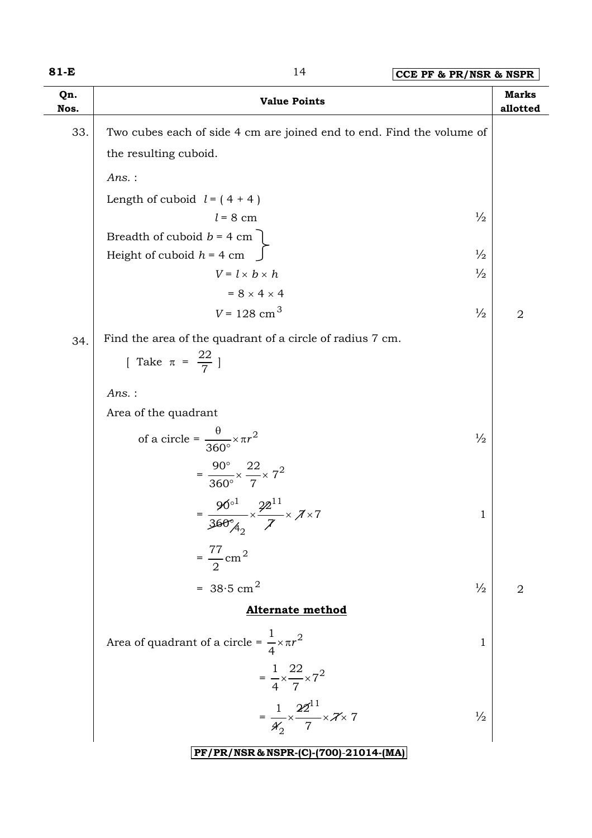**Qn. Nos.**

**81-E** 14 **CCE PF & PR/NSR & NSPR Value Points Marks Marks Marks Marks allotted**  33. Two cubes each of side 4 cm are joined end to end. Find the volume of the resulting cuboid. *Ans.* : Length of cuboid  $l = (4 + 4)$  $l = 8$  cm  $\frac{1}{2}$ Breadth of cuboid  $b = 4$  cm Height of cuboid  $h = 4$  cm  $\int$  $V = l \times b \times h$   $\frac{1}{2}$  $= 8 \times 4 \times 4$  $V = 128 \text{ cm}^3$   $\frac{1}{2}$  2  $34.$  Find the area of the quadrant of a circle of radius 7 cm. [ Take  $\pi = \frac{22}{7}$  ] *Ans.* : Area of the quadrant of a circle =  $\frac{6}{2500} \times \pi r^2$ 360 π× *r*  $\frac{\theta}{50^{\circ}} \times \pi r^2$   $\frac{1}{2}$  $=\frac{90}{2600} \times \frac{22}{7} \times 7^2$ 7 22 360 90  $\times -\times$ ° ° 22  $90^{\circ1}$   $22^{11}$ 1 °

$$
= \frac{50}{360^{\circ}A_2} \times \frac{42}{7} \times 7 \times 7
$$
  
= 
$$
\frac{77}{2}
$$
cm<sup>2</sup>  
= 38.5 cm<sup>2</sup>

#### **Alternate method**

 $=$   $\frac{1}{2}$   $\frac{1}{2}$   $\frac{1}{2}$   $\frac{1}{2}$   $\frac{1}{2}$   $\frac{1}{2}$   $\frac{1}{2}$   $\frac{1}{2}$   $\frac{1}{2}$   $\frac{1}{2}$   $\frac{1}{2}$ 

Area of quadrant of a circle =  $\frac{1}{4} \times \pi r^2$ 4 1  $\times \pi r^2$  1  $=$   $\frac{1}{2}$   $\frac{1}{2}$   $\frac{1}{2}$   $\frac{1}{2}$   $\frac{1}{2}$   $\frac{1}{2}$   $\frac{1}{2}$   $\frac{1}{2}$   $\frac{1}{2}$   $\frac{1}{2}$   $\frac{1}{2}$   $\frac{1}{2}$   $\frac{1}{2}$   $\frac{1}{2}$   $\frac{1}{2}$   $\frac{1}{2}$   $\frac{1}{2}$   $\frac{1}{2}$   $\frac{1}{2}$   $\frac{1}{2}$   $\frac{1}{2}$   $\frac{1}{2$  $7^2$ 7 22 4 1  $\times \frac{1}{\sqrt{2}} \times$  $=\frac{1}{\sqrt{2}} \times \frac{1}{\sqrt{2}} \times \frac{7}{2} \times \frac{7}{2}$ 7 22 4 1  $22^{11}$ 2  $\times \frac{1}{7} \times 7 \times 7$   $\frac{1}{2}$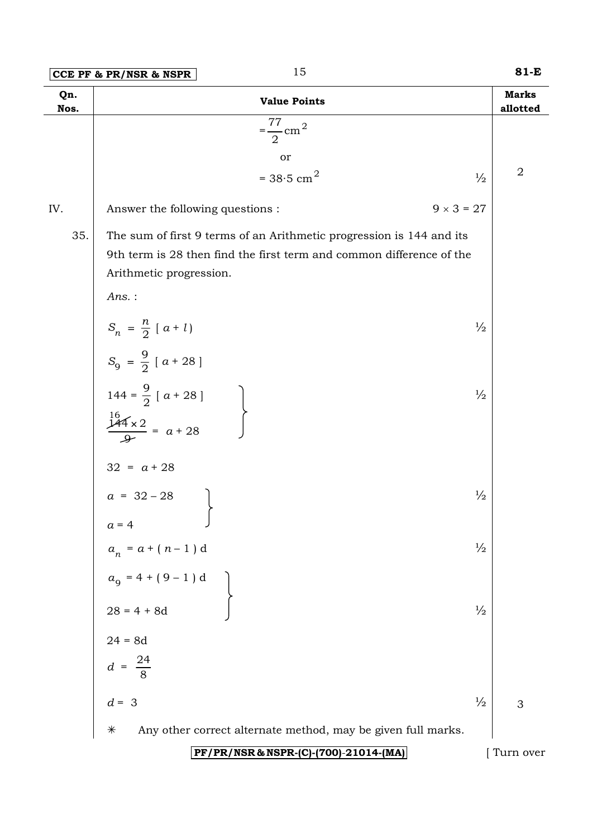|  | $ CCE$ PF & PR/NSR & NSPR |  |
|--|---------------------------|--|
|  |                           |  |

| Qn.<br>Nos. | <b>Value Points</b>                                                                                                                                                              |                   | <b>Marks</b><br>allotted |
|-------------|----------------------------------------------------------------------------------------------------------------------------------------------------------------------------------|-------------------|--------------------------|
|             | 77<br>$=\frac{1}{2}$ cm <sup>2</sup>                                                                                                                                             |                   |                          |
|             | or                                                                                                                                                                               |                   |                          |
|             | = $38.5$ cm <sup>2</sup>                                                                                                                                                         | $\frac{1}{2}$     | $\overline{2}$           |
| IV.         | Answer the following questions :                                                                                                                                                 | $9 \times 3 = 27$ |                          |
| 35.         | The sum of first 9 terms of an Arithmetic progression is 144 and its<br>9th term is 28 then find the first term and common difference of the<br>Arithmetic progression.<br>Ans.: |                   |                          |
|             | $S_n = \frac{n}{2} [a + l]$                                                                                                                                                      | $\frac{1}{2}$     |                          |
|             | $S_9 = \frac{9}{2} [a + 28]$                                                                                                                                                     |                   |                          |
|             | 144 = $\frac{9}{2}$ [ a + 28 ]<br>$\frac{16}{2}$<br>$\frac{144 \times 2}{2}$ = a + 28                                                                                            | $\frac{1}{2}$     |                          |
|             | $32 = a + 28$                                                                                                                                                                    |                   |                          |
|             | $a = 32 - 28$<br>$a = 4$                                                                                                                                                         | $\frac{1}{2}$     |                          |
|             | $a_n = a + (n - 1)$ d                                                                                                                                                            | $\frac{1}{2}$     |                          |
|             | $a_9 = 4 + (9 - 1) d$<br>$28 = 4 + 8d$                                                                                                                                           |                   |                          |
|             |                                                                                                                                                                                  | $\frac{1}{2}$     |                          |
|             |                                                                                                                                                                                  |                   |                          |
|             | $24 = 8d$<br>$d = \frac{24}{8}$                                                                                                                                                  |                   |                          |
|             | $d = 3$                                                                                                                                                                          | $\frac{1}{2}$     | 3                        |
|             | Any other correct alternate method, may be given full marks.<br>$\ast$                                                                                                           |                   |                          |
|             | PF/PR/NSR & NSPR-(C)-(700)-21014-(MA)                                                                                                                                            |                   | Turn over                |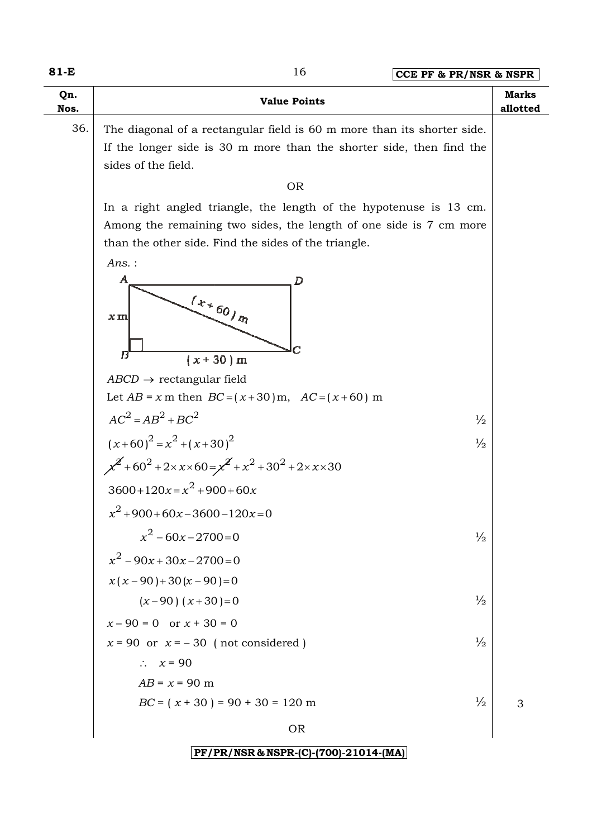**81-E**

| Qn.<br>Nos. | <b>Value Points</b>                                                                                                                                                                              | <b>Marks</b><br>allotted |
|-------------|--------------------------------------------------------------------------------------------------------------------------------------------------------------------------------------------------|--------------------------|
| 36.         | The diagonal of a rectangular field is 60 m more than its shorter side.<br>If the longer side is 30 m more than the shorter side, then find the<br>sides of the field.                           |                          |
|             | <b>OR</b>                                                                                                                                                                                        |                          |
|             | In a right angled triangle, the length of the hypotenuse is 13 cm.<br>Among the remaining two sides, the length of one side is 7 cm more<br>than the other side. Find the sides of the triangle. |                          |
|             | Ans.:<br>$\boldsymbol{A}$<br>D<br>$\left(x_{\star}\right._{60\,_{\eta_2}}$<br>$x\,\mathrm{m}$<br>$\boldsymbol{B}$<br>$(x + 30)$ m                                                                |                          |
|             | $ABCD \rightarrow$ rectangular field                                                                                                                                                             |                          |
|             | Let $AB = x$ m then $BC = (x + 30)$ m, $AC = (x + 60)$ m                                                                                                                                         |                          |
|             | $AC2 = AB2 + BC2$<br>$\frac{1}{2}$                                                                                                                                                               |                          |
|             | $(x+60)^2 = x^2 + (x+30)^2$<br>$\frac{1}{2}$                                                                                                                                                     |                          |
|             | $x^2$ +60 <sup>2</sup> +2×x×60= $x^2$ +x <sup>2</sup> +30 <sup>2</sup> +2×x×30                                                                                                                   |                          |
|             | $3600+120x=x^2+900+60x$                                                                                                                                                                          |                          |
|             | $x^2$ +900+60x-3600-120x=0                                                                                                                                                                       |                          |
|             | $x^2 - 60x - 2700 = 0$<br>$\frac{1}{2}$                                                                                                                                                          |                          |
|             | $x^2 - 90x + 30x - 2700 = 0$                                                                                                                                                                     |                          |
|             | $x(x-90)+30(x-90)=0$                                                                                                                                                                             |                          |
|             | $(x-90)$ $(x+30)=0$<br>$\frac{1}{2}$                                                                                                                                                             |                          |
|             | $x - 90 = 0$ or $x + 30 = 0$                                                                                                                                                                     |                          |
|             | $x = 90$ or $x = -30$ (not considered)<br>$\frac{1}{2}$                                                                                                                                          |                          |
|             | $\therefore$ $x = 90$                                                                                                                                                                            |                          |
|             | $AB = x = 90$ m                                                                                                                                                                                  |                          |
|             | $\frac{1}{2}$<br>$BC = (x + 30) = 90 + 30 = 120$ m                                                                                                                                               | 3                        |
|             | <b>OR</b>                                                                                                                                                                                        |                          |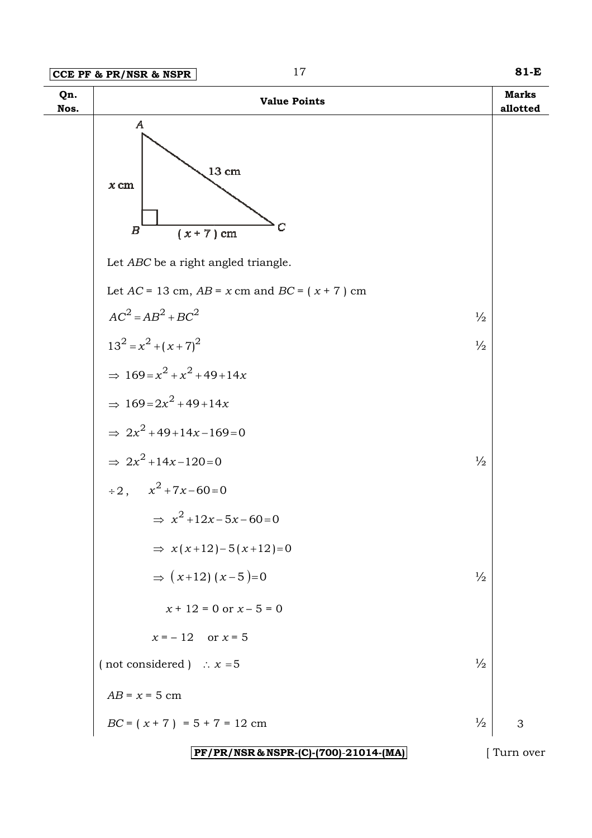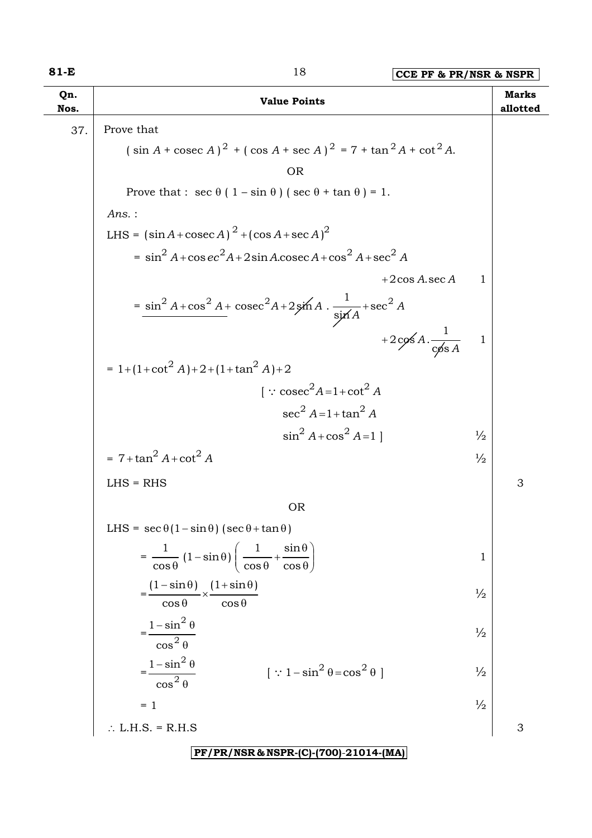| Qn.<br>Nos. | <b>Value Points</b>                                                                                             |               | <b>Marks</b><br>allotted |
|-------------|-----------------------------------------------------------------------------------------------------------------|---------------|--------------------------|
| 37.         | Prove that                                                                                                      |               |                          |
|             | $(\sin A + \csc A)^2 + (\cos A + \sec A)^2 = 7 + \tan^2 A + \cot^2 A$ .                                         |               |                          |
|             | <b>OR</b>                                                                                                       |               |                          |
|             | Prove that : $\sec \theta (1 - \sin \theta) (\sec \theta + \tan \theta) = 1$ .                                  |               |                          |
|             | $Ans.$ :                                                                                                        |               |                          |
|             | LHS = $(\sin A + \csc A)^2 + (\cos A + \sec A)^2$                                                               |               |                          |
|             | = $\sin^2 A + \cos ec^2 A + 2\sin A \cdot \csc A + \cos^2 A + \sec^2 A$                                         |               |                          |
|             | $+2\cos A \sec A$                                                                                               | 1             |                          |
|             | $=\frac{\sin^2 A + \cos^2 A + \csc^2 A + 2\sin A \cdot \frac{1}{\sin A} + \sec^2 A}{\sin A}$                    |               |                          |
|             | +2cos A. $\frac{1}{\cos A}$                                                                                     | $\mathbf 1$   |                          |
|             | $= 1 + (1 + \cot^2 A) + 2 + (1 + \tan^2 A) + 2$                                                                 |               |                          |
|             | $\int$ : cosec <sup>2</sup> A=1+cot <sup>2</sup> A                                                              |               |                          |
|             | $\sec^2 A = 1 + \tan^2 A$                                                                                       |               |                          |
|             | $\sin^2 A + \cos^2 A = 1$                                                                                       | $\frac{1}{2}$ |                          |
|             | $= 7 + \tan^2 A + \cot^2 A$                                                                                     | $\frac{1}{2}$ |                          |
|             | $LHS = RHS$                                                                                                     |               | 3                        |
|             | <b>OR</b>                                                                                                       |               |                          |
|             | LHS = $\sec \theta (1 - \sin \theta) (\sec \theta + \tan \theta)$                                               |               |                          |
|             | $=\frac{1}{\cos\theta}\left(1-\sin\theta\right)\left(\frac{1}{\cos\theta}+\frac{\sin\theta}{\cos\theta}\right)$ | 1             |                          |
|             | $\frac{(1-\sin\theta)}{2} \times \frac{(1+\sin\theta)}{2}$<br>$\overline{\cos \theta}$<br>$\cos \theta$         | $\frac{1}{2}$ |                          |
|             | $=\frac{1-\sin^2\theta}{\pi}$<br>$\cos^2\theta$                                                                 | $\frac{1}{2}$ |                          |
|             | $=\frac{1-\sin^2\theta}{\cos^2\theta}$<br>$[\because 1 - \sin^2 \theta = \cos^2 \theta]$                        | $\frac{1}{2}$ |                          |
|             | $= 1$                                                                                                           | $\frac{1}{2}$ |                          |
|             | $\therefore$ L.H.S. = R.H.S                                                                                     |               | 3                        |
|             |                                                                                                                 |               |                          |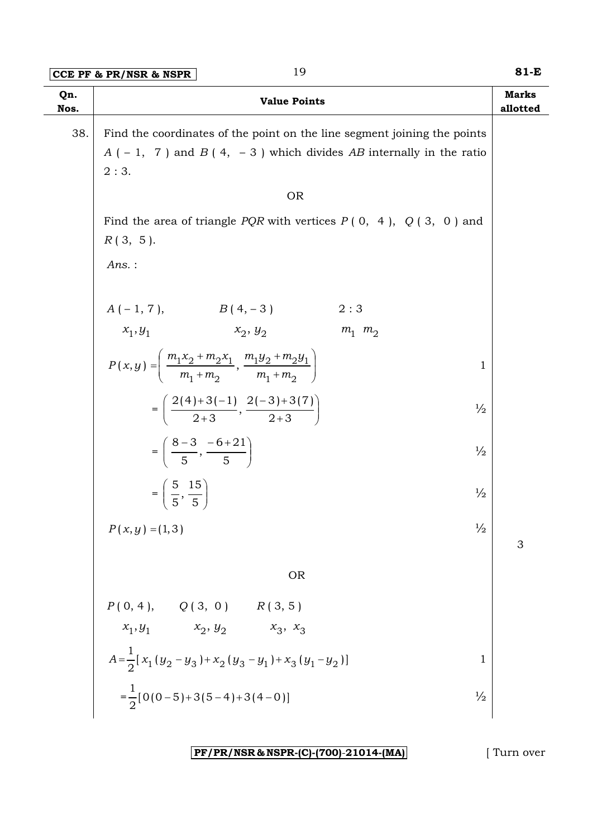| Qn.<br>Nos. | <b>Value Points</b>                                                                                                                                      | <b>Marks</b><br>allotted |
|-------------|----------------------------------------------------------------------------------------------------------------------------------------------------------|--------------------------|
| 38.         | Find the coordinates of the point on the line segment joining the points<br>$A$ (-1, 7) and $B$ (4, -3) which divides AB internally in the ratio<br>2:3. |                          |
|             | <b>OR</b>                                                                                                                                                |                          |
|             | Find the area of triangle <i>PQR</i> with vertices $P(0, 4)$ , $Q(3, 0)$ and<br>$R(3, 5)$ .                                                              |                          |
|             | $Ans.$ :                                                                                                                                                 |                          |
|             | $A(-1, 7),$ $B(4, -3)$<br>2:3                                                                                                                            |                          |
|             | $x_1, y_1$ $x_2, y_2$<br>$m_1$ $m_2$                                                                                                                     |                          |
|             | $P(x,y) = \left( \frac{m_1x_2 + m_2x_1}{m_1 + m_2}, \frac{m_1y_2 + m_2y_1}{m_1 + m_2} \right)$<br>1                                                      |                          |
|             | $=\left(\frac{2(4)+3(-1)}{2+3},\frac{2(-3)+3(7)}{2+3}\right)$<br>$\frac{1}{2}$                                                                           |                          |
|             | $=\left(\frac{8-3}{5},\frac{-6+21}{5}\right)$<br>$\frac{1}{2}$                                                                                           |                          |
|             | $=\left(\frac{5}{5},\frac{15}{5}\right)$<br>$\frac{1}{2}$                                                                                                |                          |
|             | $\frac{1}{2}$<br>$P(x, y) = (1, 3)$                                                                                                                      | 3                        |
|             | <b>OR</b>                                                                                                                                                |                          |
|             |                                                                                                                                                          |                          |
|             |                                                                                                                                                          |                          |
|             | P(0, 4), Q(3, 0) R(3, 5)<br>$x_1, y_1$ $x_2, y_2$ $x_3, x_3$<br>$A = \frac{1}{2} [x_1 (y_2 - y_3) + x_2 (y_3 - y_1) + x_3 (y_1 - y_2)]$<br>$\mathbf 1$   |                          |
|             | $=\frac{1}{2}[0(0-5)+3(5-4)+3(4-0)]$<br>$\frac{1}{2}$                                                                                                    |                          |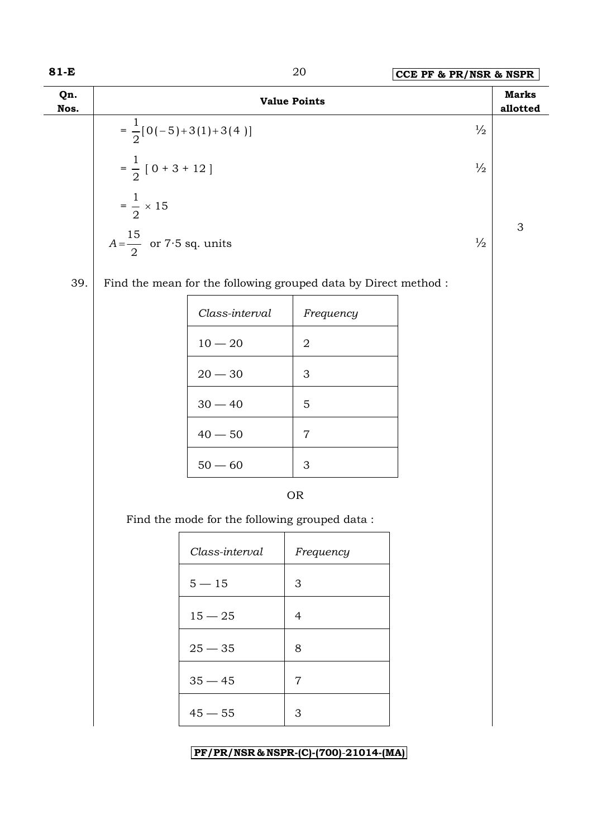| 81-E        |                                     |                                               | 20                                                              | CCE PF & PR/NSR & NSPR |                           |  |
|-------------|-------------------------------------|-----------------------------------------------|-----------------------------------------------------------------|------------------------|---------------------------|--|
| Qn.<br>Nos. |                                     |                                               | <b>Value Points</b>                                             |                        | <b>Marks</b><br>allotted  |  |
|             |                                     | $=\frac{1}{2}[0(-5)+3(1)+3(4)]$               |                                                                 | $\frac{1}{2}$          |                           |  |
|             | $=\frac{1}{2}$ [ 0 + 3 + 12 ]       |                                               |                                                                 |                        |                           |  |
|             | $=\frac{1}{2} \times 15$            |                                               |                                                                 |                        | $\ensuremath{\mathsf{3}}$ |  |
|             | $A = \frac{15}{2}$ or 7.5 sq. units |                                               |                                                                 | $\frac{1}{2}$          |                           |  |
| 39.         |                                     |                                               | Find the mean for the following grouped data by Direct method : |                        |                           |  |
|             |                                     | Class-interval                                | Frequency                                                       |                        |                           |  |
|             |                                     | $10-20\,$                                     | $\sqrt{2}$                                                      |                        |                           |  |
|             |                                     | $20 - 30$                                     | 3                                                               |                        |                           |  |
|             |                                     | $30 - 40$                                     | $\mathbf 5$                                                     |                        |                           |  |
|             |                                     | $40 - 50$                                     | 7                                                               |                        |                           |  |
|             |                                     | $50 - 60$                                     | 3                                                               |                        |                           |  |
|             |                                     |                                               | <b>OR</b>                                                       |                        |                           |  |
|             |                                     | Find the mode for the following grouped data: |                                                                 |                        |                           |  |
|             |                                     | Class-interval                                | Frequency                                                       |                        |                           |  |
|             |                                     | $5-15$                                        | $\mathfrak{Z}$                                                  |                        |                           |  |
|             |                                     | $15 - 25$                                     | $\overline{4}$                                                  |                        |                           |  |
|             |                                     | $25 - 35$                                     | $8\,$                                                           |                        |                           |  |
|             |                                     | $35 - 45$                                     | $\overline{7}$                                                  |                        |                           |  |
|             |                                     | $45 - 55$                                     | $\mathfrak{Z}$                                                  |                        |                           |  |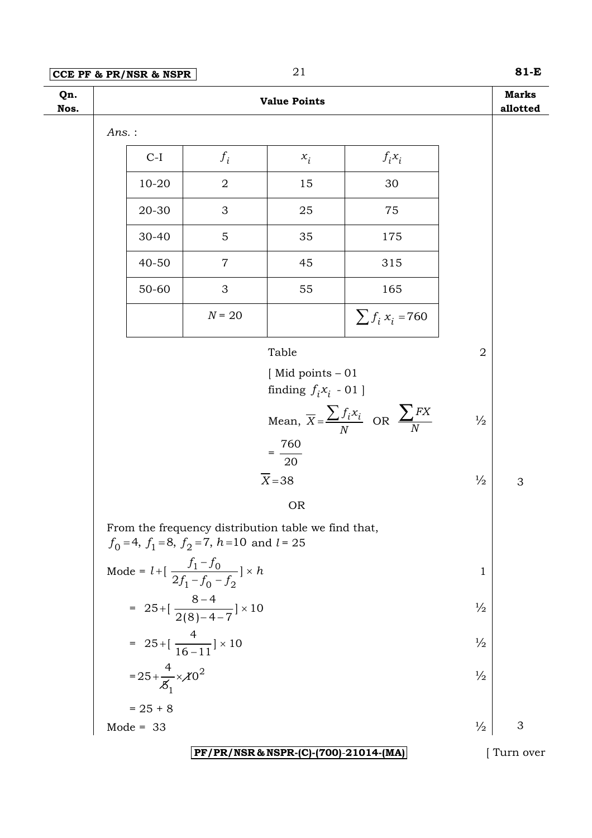## **CCE PF & PR/NSR & NSPR** 21 **81-E**

| Qn.<br>Nos. |          |                                    |                                                                         | <b>Value Points</b>                   |                                                                      |                | <b>Marks</b><br>allotted |
|-------------|----------|------------------------------------|-------------------------------------------------------------------------|---------------------------------------|----------------------------------------------------------------------|----------------|--------------------------|
|             | $Ans.$ : |                                    |                                                                         |                                       |                                                                      |                |                          |
|             |          | $C-I$                              | $f_i$                                                                   | $x_i$                                 | $f_i x_i$                                                            |                |                          |
|             |          | $10 - 20$                          | $\sqrt{2}$                                                              | 15                                    | 30                                                                   |                |                          |
|             |          | 20-30                              | 3                                                                       | 25                                    | 75                                                                   |                |                          |
|             |          | 30-40                              | 5                                                                       | 35                                    | 175                                                                  |                |                          |
|             |          | $40 - 50$                          | $\overline{7}$                                                          | 45                                    | 315                                                                  |                |                          |
|             |          | 50-60                              | 3                                                                       | 55                                    | 165                                                                  |                |                          |
|             |          |                                    | $N = 20$                                                                |                                       | $\sum f_i x_i = 760$                                                 |                |                          |
|             |          |                                    |                                                                         | Table                                 |                                                                      | $\overline{2}$ |                          |
|             |          |                                    |                                                                         | [Mid points - 01                      |                                                                      |                |                          |
|             |          |                                    |                                                                         | finding $f_i x_i$ - $01$ ]            |                                                                      |                |                          |
|             |          |                                    |                                                                         |                                       | Mean, $\overline{X} = \frac{\sum f_i x_i}{N}$ OR $\frac{\sum FX}{N}$ | $\frac{1}{2}$  |                          |
|             |          |                                    |                                                                         | $=\frac{760}{20}$                     |                                                                      |                |                          |
|             |          |                                    |                                                                         | $\overline{X}$ =38                    |                                                                      | $\frac{1}{2}$  | 3                        |
|             |          |                                    |                                                                         | <b>OR</b>                             |                                                                      |                |                          |
|             |          |                                    | From the frequency distribution table we find that,                     |                                       |                                                                      |                |                          |
|             |          |                                    | $f_0 = 4$ , $f_1 = 8$ , $f_2 = 7$ , $h = 10$ and $l = 25$               |                                       |                                                                      |                |                          |
|             |          |                                    | Mode = $l + \left[ \frac{f_1 - f_0}{2f_1 - f_0 - f_2} \right] \times h$ |                                       |                                                                      | 1              |                          |
|             |          |                                    | = $25 + [\frac{8-4}{2(8)-4-7}] \times 10$                               |                                       |                                                                      | $\frac{1}{2}$  |                          |
|             |          |                                    | = $25 + [\frac{4}{16 - 11}] \times 10$                                  |                                       |                                                                      | $\frac{1}{2}$  |                          |
|             |          | = $25 + \frac{4}{5} \times 10^{2}$ |                                                                         |                                       |                                                                      | $\frac{1}{2}$  |                          |
|             |          | $= 25 + 8$                         |                                                                         |                                       |                                                                      |                |                          |
|             |          | Mode = $33$                        |                                                                         |                                       |                                                                      | $\frac{1}{2}$  | 3                        |
|             |          |                                    |                                                                         | PF/PR/NSR & NSPR-(C)-(700)-21014-(MA) |                                                                      |                | Turn over                |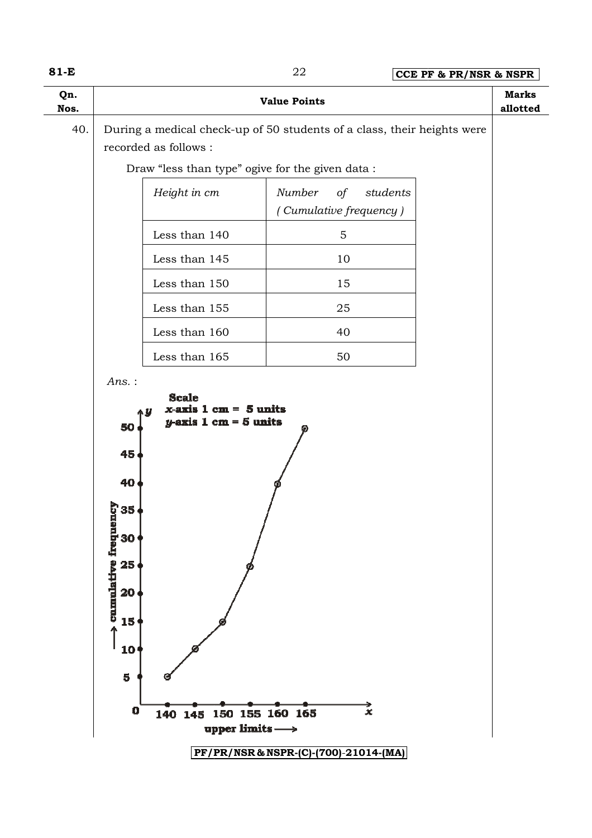| w<br>۰. |  |
|---------|--|
|---------|--|

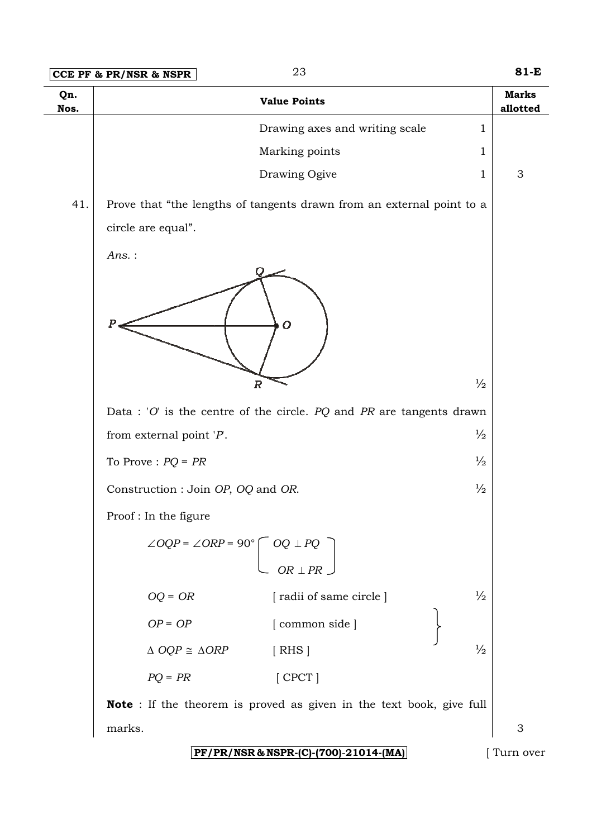|             | 23<br>CCE PF & PR/NSR & NSPR                                                                                                                | 81-E                     |
|-------------|---------------------------------------------------------------------------------------------------------------------------------------------|--------------------------|
| Qn.<br>Nos. | <b>Value Points</b>                                                                                                                         | <b>Marks</b><br>allotted |
|             | Drawing axes and writing scale<br>$\mathbf{1}$                                                                                              |                          |
|             | Marking points<br>$\mathbf{1}$                                                                                                              |                          |
|             | Drawing Ogive<br>1                                                                                                                          | 3                        |
| 41.         | Prove that "the lengths of tangents drawn from an external point to a                                                                       |                          |
|             | circle are equal".                                                                                                                          |                          |
|             | Ans.:<br>P<br>$\overline{O}$<br>$\frac{1}{2}$<br>$\overline{R}$<br>Data : 'O' is the centre of the circle. $PQ$ and $PR$ are tangents drawn |                          |
|             | $\frac{1}{2}$<br>from external point $'P$ .                                                                                                 |                          |
|             | $\frac{1}{2}$<br>To Prove : $PQ = PR$                                                                                                       |                          |
|             | $\frac{1}{2}$                                                                                                                               |                          |
|             | Construction : Join OP, OQ and OR.                                                                                                          |                          |
|             | Proof: In the figure                                                                                                                        |                          |
|             | $\angle OQP = \angle ORP = 90^{\circ} \left[ \begin{array}{c} OQ \perp PQ \\ &$ OR $\perp PR \end{array} \right]$                           |                          |
|             | $\frac{1}{2}$<br>$OQ = OR$<br>[radii of same circle]                                                                                        |                          |
|             | $OP = OP$<br>[common side]                                                                                                                  |                          |
|             | $\frac{1}{2}$<br>$\triangle$ OQP $\cong$ $\triangle$ ORP<br>[ RHS]                                                                          |                          |
|             | $PQ = PR$<br>$[$ CPCT $]$                                                                                                                   |                          |
|             | <b>Note</b> : If the theorem is proved as given in the text book, give full                                                                 |                          |
|             | marks.                                                                                                                                      | $\mathfrak{S}$           |

**PF/PR/NS PF/PR/NSR & NSPR-(C)-(700)**-**21014-(MA)**

[ Turn over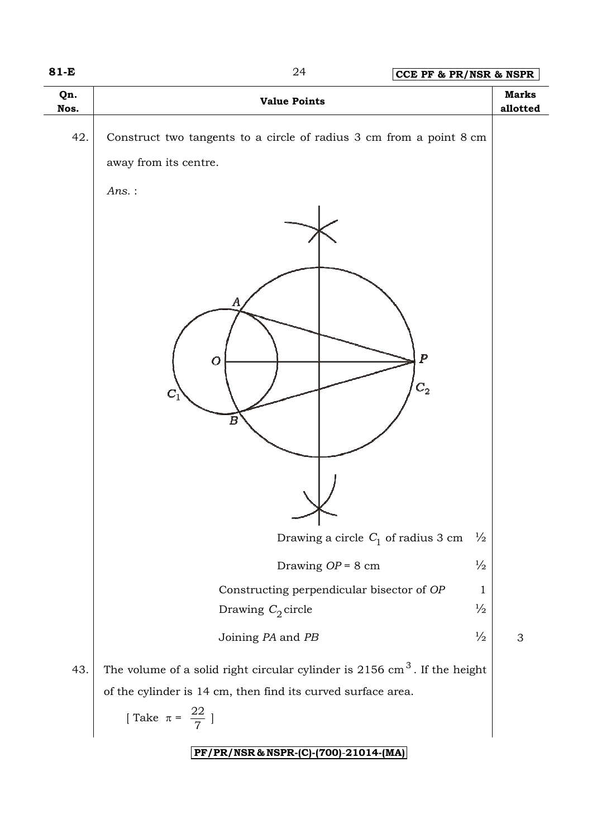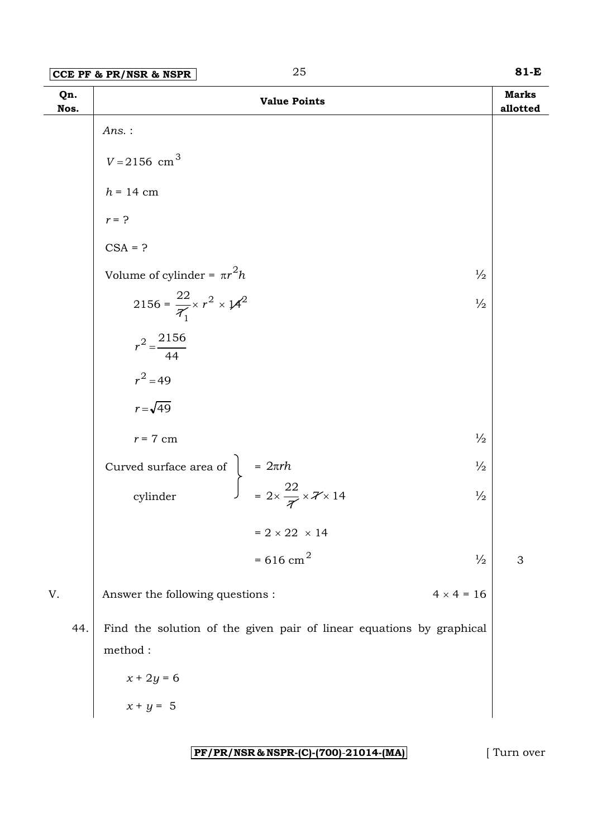| Qn.<br>Nos. |                                                                                                                  | <b>Value Points</b>                                                  |                   | <b>Marks</b><br>allotted |
|-------------|------------------------------------------------------------------------------------------------------------------|----------------------------------------------------------------------|-------------------|--------------------------|
|             | $Ans.$ :                                                                                                         |                                                                      |                   |                          |
|             | $V = 2156$ cm <sup>3</sup>                                                                                       |                                                                      |                   |                          |
|             | $h = 14$ cm                                                                                                      |                                                                      |                   |                          |
|             | $r = ?$                                                                                                          |                                                                      |                   |                          |
|             | $CSA = ?$                                                                                                        |                                                                      |                   |                          |
|             | Volume of cylinder = $\pi r^2 h$                                                                                 |                                                                      | $\frac{1}{2}$     |                          |
|             | 2156 = $\frac{22}{7_1} \times r^2 \times 14^2$                                                                   |                                                                      | $\frac{1}{2}$     |                          |
|             | $r^2 = \frac{2156}{44}$                                                                                          |                                                                      |                   |                          |
|             | $r^2 = 49$                                                                                                       |                                                                      |                   |                          |
|             | $r = \sqrt{49}$                                                                                                  |                                                                      |                   |                          |
|             | $r = 7$ cm                                                                                                       |                                                                      | $\frac{1}{2}$     |                          |
|             |                                                                                                                  |                                                                      | $\frac{1}{2}$     |                          |
|             | Curved surface area of $\begin{cases}\n= 2\pi rh \\ = 2 \times \frac{22}{\pi} \times \pi \times 14\n\end{cases}$ |                                                                      | $\frac{1}{2}$     |                          |
|             |                                                                                                                  | = $2 \times 22 \times 14$                                            |                   |                          |
|             |                                                                                                                  | $= 616$ cm <sup>2</sup>                                              | $\frac{1}{2}$     | 3                        |
| V.          | Answer the following questions :                                                                                 |                                                                      | $4 \times 4 = 16$ |                          |
| 44.         | $\rm{method}$ :                                                                                                  | Find the solution of the given pair of linear equations by graphical |                   |                          |
|             | $x + 2y = 6$                                                                                                     |                                                                      |                   |                          |
|             | $x + y = 5$                                                                                                      |                                                                      |                   |                          |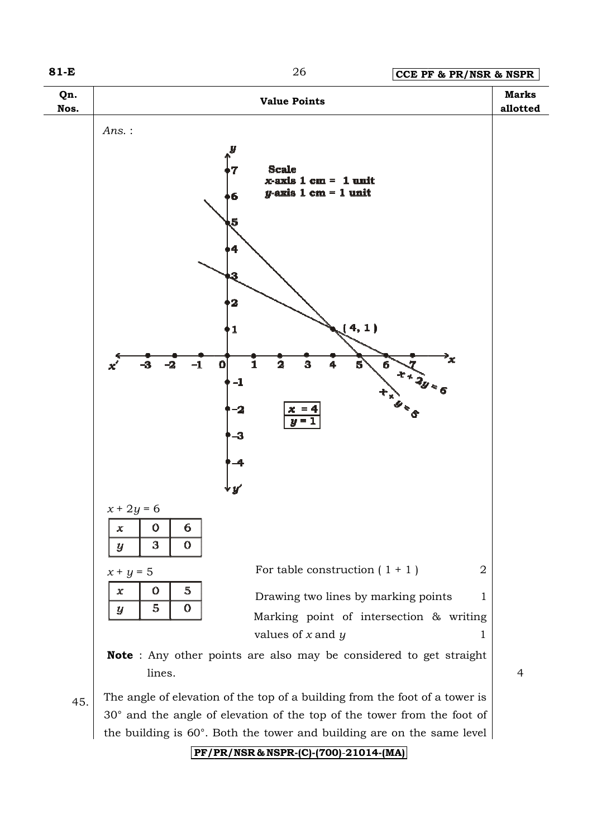

 $45.$  The angle of elevation of the top of a building from the foot of a tower is 30° and the angle of elevation of the top of the tower from the foot of the building is 60°. Both the tower and building are on the same level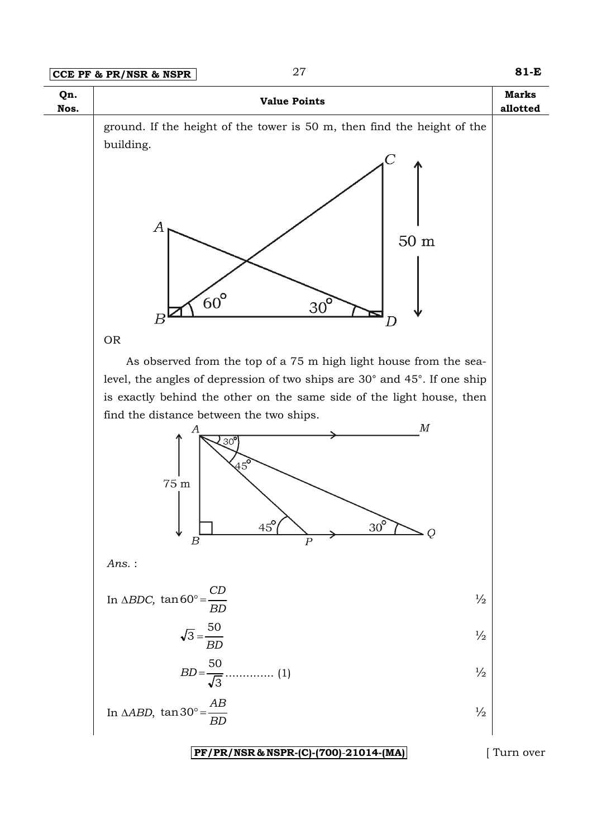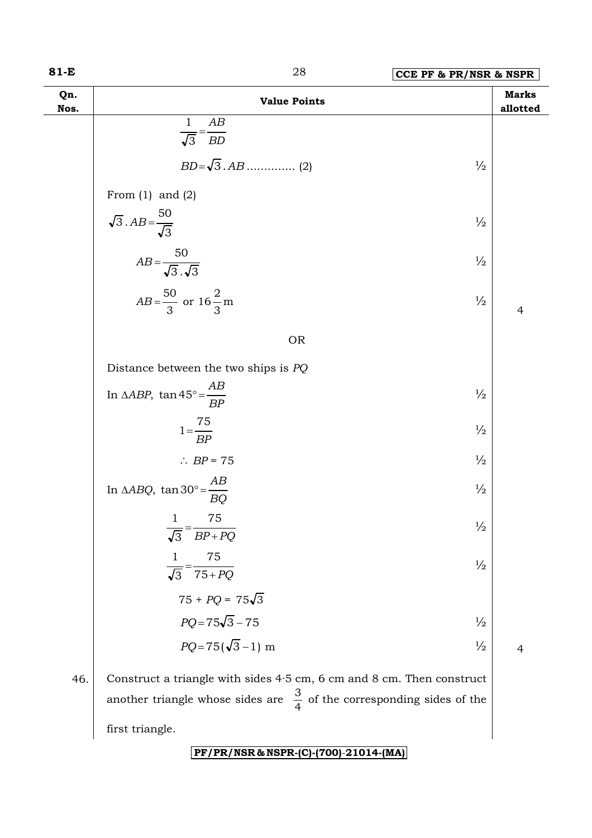| 81-E        | 28                                                                          | CCE PF & PR/NSR & NSPR |                          |
|-------------|-----------------------------------------------------------------------------|------------------------|--------------------------|
| Qn.<br>Nos. | <b>Value Points</b>                                                         |                        | <b>Marks</b><br>allotted |
|             | AB<br>$\mathbf{1}$<br>$\overline{\sqrt{3}} = \overline{BD}$                 |                        |                          |
|             |                                                                             | $\frac{1}{2}$          |                          |
|             | From $(1)$ and $(2)$                                                        |                        |                          |
|             | $\sqrt{3}$ . $AB = \frac{50}{\sqrt{3}}$                                     | $\frac{1}{2}$          |                          |
|             | $AB = \frac{50}{\sqrt{3} \cdot \sqrt{3}}$                                   | $\frac{1}{2}$          |                          |
|             | $AB = \frac{50}{3}$ or $16\frac{2}{3}$ m                                    | $\frac{1}{2}$          | $\overline{4}$           |
|             | <b>OR</b>                                                                   |                        |                          |
|             | Distance between the two ships is $PQ$                                      |                        |                          |
|             | In $\triangle ABP$ , $\tan 45^\circ = \frac{AB}{BP}$                        | $\frac{1}{2}$          |                          |
|             | $1=\frac{75}{BP}$                                                           | $\frac{1}{2}$          |                          |
|             | $\therefore BP = 75$                                                        | $\frac{1}{2}$          |                          |
|             | In $\triangle ABQ$ , $\tan 30^\circ = \frac{AB}{BQ}$                        | $\frac{1}{2}$          |                          |
|             | 75<br>$\overline{\sqrt{3}} = \overline{BP + PQ}$                            | $\frac{1}{2}$          |                          |
|             | 75<br>1<br>$\overline{\sqrt{3}} = \overline{75 + PQ}$                       | $\frac{1}{2}$          |                          |
|             | $75 + PQ = 75\sqrt{3}$                                                      |                        |                          |
|             | $PQ = 75\sqrt{3} - 75$                                                      | $\frac{1}{2}$          |                          |
|             | $PQ = 75(\sqrt{3}-1)$ m                                                     | $\frac{1}{2}$          | $\overline{4}$           |
| 46.         | Construct a triangle with sides $4.5$ cm, $6$ cm and $8$ cm. Then construct |                        |                          |

another triangle whose sides are  $\frac{6}{4}$  $\frac{3}{4}$  of the corresponding sides of the first triangle.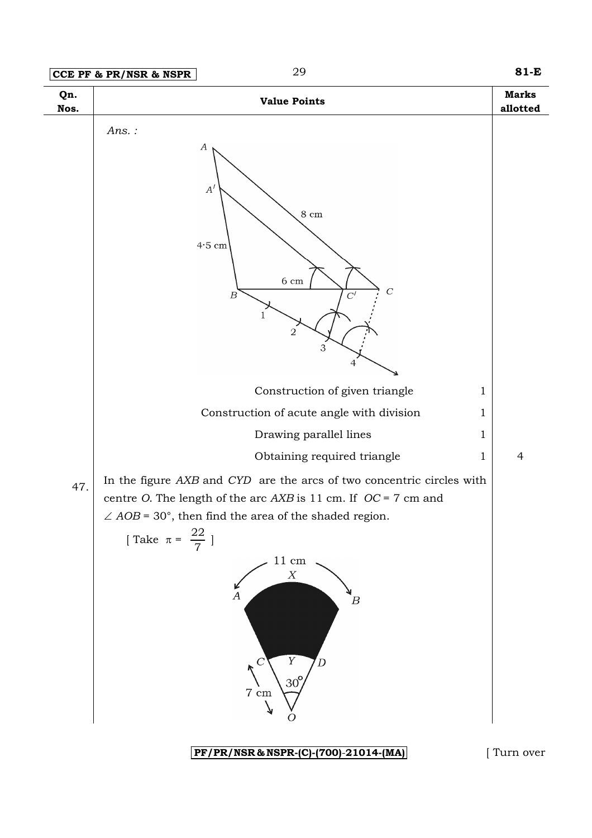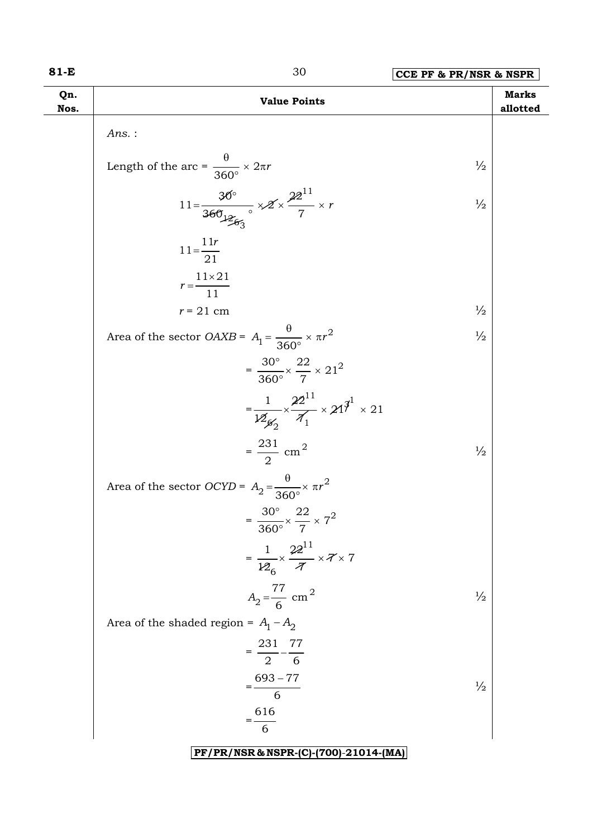| w<br>۰. |  |  |
|---------|--|--|
|---------|--|--|

| 81-E        | 30                                                                               | CCE PF & PR/NSR & NSPR |                          |
|-------------|----------------------------------------------------------------------------------|------------------------|--------------------------|
| Qn.<br>Nos. | <b>Value Points</b>                                                              |                        | <b>Marks</b><br>allotted |
|             | $Ans.$ :                                                                         |                        |                          |
|             | Length of the arc = $\frac{\theta}{360^{\circ}} \times 2\pi r$                   | $\frac{1}{2}$          |                          |
|             | $11 = \frac{30^{\circ}}{360} \times 2 \times \frac{22^{11}}{7} \times r$         | $\frac{1}{2}$          |                          |
|             | $11 = \frac{11r}{21}$                                                            |                        |                          |
|             | $r = \frac{11 \times 21}{11}$                                                    |                        |                          |
|             | $r = 21$ cm                                                                      | $\frac{1}{2}$          |                          |
|             | Area of the sector <i>OAXB</i> = $A_1 = \frac{\theta}{360^\circ} \times \pi r^2$ | $\frac{1}{2}$          |                          |
|             | $=\frac{30^{\circ}}{360^{\circ}} \times \frac{22}{7} \times 21^{2}$              |                        |                          |
|             | $=\frac{1}{12\beta\gamma}\times\frac{22^{11}}{1}\times21^{3^{1}}\times21$        |                        |                          |
|             | $=\frac{231}{2}$ cm <sup>2</sup>                                                 | $\frac{1}{2}$          |                          |
|             | Area of the sector OCYD = $A_2 = \frac{\theta}{360^\circ} \times \pi r^2$        |                        |                          |
|             | $=\frac{30^{\circ}}{360^{\circ}} \times \frac{22}{7} \times 7^{2}$               |                        |                          |
|             | $=\frac{1}{126}\times\frac{22^{11}}{\pi}\times7\times7$                          |                        |                          |
|             | $A_2 = \frac{77}{6}$ cm <sup>2</sup>                                             | $\frac{1}{2}$          |                          |
|             | Area of the shaded region = $A_1 - A_2$                                          |                        |                          |
|             | $=\frac{231}{2} - \frac{77}{6}$                                                  |                        |                          |
|             | $=\frac{693-77}{6}$                                                              | $\frac{1}{2}$          |                          |
|             | $=\frac{616}{6}$                                                                 |                        |                          |
|             | PF/PR/NSR & NSPR-(C)-(700)-21014-(MA)                                            |                        |                          |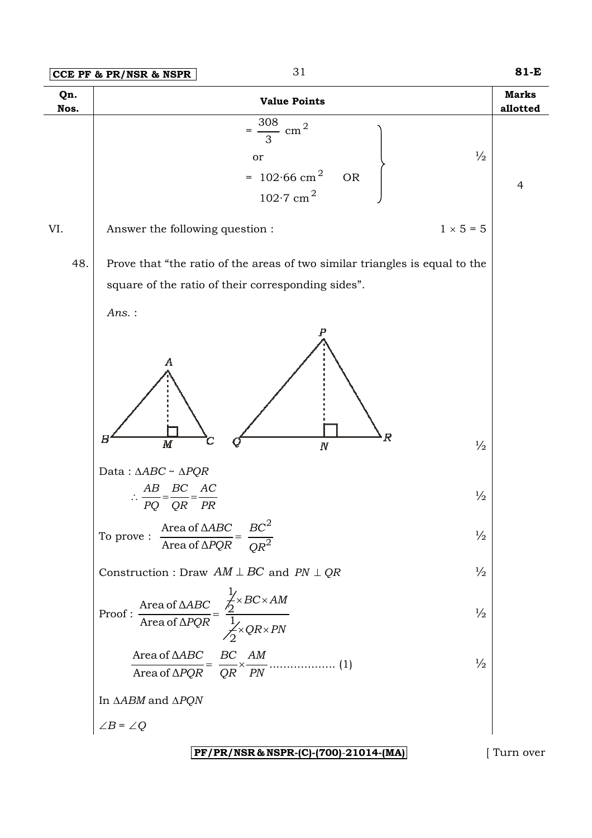| Qn.<br>Nos. | <b>Value Points</b>                                                                                                                                             | <b>Marks</b><br>allotted |
|-------------|-----------------------------------------------------------------------------------------------------------------------------------------------------------------|--------------------------|
|             | 308<br>cm <sup>2</sup><br>$\frac{1}{2}$<br>or<br>= $102.66$ cm <sup>2</sup><br><b>OR</b><br>$102.7$ cm <sup>2</sup>                                             | $\overline{4}$           |
| VI.         | $1 \times 5 = 5$<br>Answer the following question :                                                                                                             |                          |
| 48.         | Prove that "the ratio of the areas of two similar triangles is equal to the<br>square of the ratio of their corresponding sides".<br>$Ans.$ :<br>Α              |                          |
|             | $\boldsymbol{R}$<br>В<br>$\overline{M}$<br>$\frac{1}{2}$<br>$\cal N$<br>Data: $\triangle ABC \sim \triangle PQR$<br>BC AC<br>АB                                 |                          |
|             | $\frac{1}{2}$<br>QR PR<br>PQ                                                                                                                                    |                          |
|             | To prove : $\frac{\text{Area of } \triangle ABC}{\text{Area of } \triangle PQR} = \frac{BC^2}{QR^2}$<br>$\frac{1}{2}$                                           |                          |
|             | $\frac{1}{2}$<br>Construction : Draw $AM \perp BC$ and $PN \perp QR$                                                                                            |                          |
|             | Proof: $\frac{\text{Area of }\Delta ABC}{\text{Area of }\Delta PQR} = \frac{\frac{1}{2} \times BC \times AM}{\frac{1}{2} \times QR \times PN}$<br>$\frac{1}{2}$ |                          |
|             | $\frac{1}{2}$                                                                                                                                                   |                          |
|             | In $\triangle ABM$ and $\triangle PQN$                                                                                                                          |                          |
|             | $\angle B = \angle Q$                                                                                                                                           |                          |
|             | PF/PR/NSR & NSPR-(C)-(700)-21014-(MA)                                                                                                                           | Turn over                |